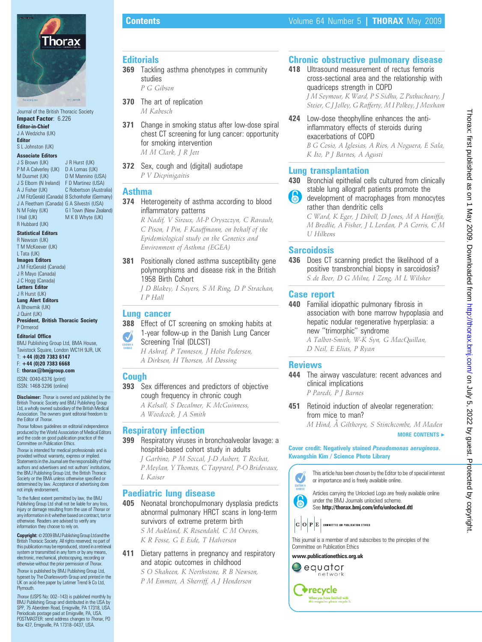

Journal of the British Thoracic Society Impact Factor: 6.226 Editor-in-Chief J A Wedzicha (UK) Editor

#### S L Johnston (UK) Associate Editors

J S Brown (UK) P M A Calverley (UK) D A Lomas (UK) M Dusmet (UK) J S Elborn (N Ireland) F D Martinez (USA) A J Fisher (UK) J M FitzGerald (Canada) B Schonhofer (Germany) J A Fleetham (Canada) G A Silvestri (USA) N M Foley (UK) I Hall (UK) R Hubbard (UK) J R Hurst (UK) D M Mannino (USA) C Robertson (Australia) G I Town (New Zealand) M K B Whyte (UK)

Statistical Editors

R Newson (UK) T M McKeever (UK) L Tata (UK)

Images Editors J M FitzGerald (Canada)

J R Mayo (Canada) J C Hogg (Canada) Letters Editor

J R Hurst (UK) Lung Alert Editors A Bhowmik (UK) J Quint (UK)

President, British Thoracic Society P Ormerod

#### Editorial Office

BMJ Publishing Group Ltd, BMA House, Tavistock Square, London WC1H 9JR, UK

#### T: +44 (0)20 7383 6147 F: +44 (0)20 7383 6668

E: thorax@bmjgroup.com

ISSN: 0040-6376 (print) ISSN: 1468-3296 (online)

**Disclaimer:** *Thorax* is owned and published by the<br>British Thoracic Society and BMJ Publishing Group Ltd, a wholly owned subsidiary of the British Medical Association. The owners grant editorial freedom to the Editor of Thorax.

Thorax follows guidelines on editorial independence produced by the World Association of Medical Editors and the code on good publication practice of the Committee on Publication Ethics.

Thorax is intended for medical professionals and is provided without warranty, express or implied. Statements in the Journal are the responsibility of their authors and advertisers and not authors' institutions, the BMJ Publishing Group Ltd, the British Thoracic Society or the BMA unless otherwise specified or determined by law. Acceptance of advertising does not imply endorsement.

To the fullest extent permitted by law, the BMJ Publishing Group Ltd shall not be liable for any loss, injury or damage resulting from the use of Thorax or any information in it whether basedon contract, tort or otherwise. Readers are advised to verify any information they choose to rely on.

Copyright: © 2009 BMJ Publishing Group Ltd and the sh Thoracic Society. All rights reserved; no part of this publication may be reproduced, stored in a retrieval system or transmitted in any form or by any means, electronic, mechanical, photocopying, recording or otherwise without the prior permission of Thorax. Thorax is published by BMJ Publishing Group Ltd, typeset by The Charlesworth Group and printed in the UK on acid-free paper by Latimer Trend & Co Ltd, Plymouth.

Thorax (USPS No: 002–143) is published monthly by BMJ Publishing Group and distributed in the USA by SPP, 75 Aberdeen Road, Emigsville, PA 17318, USA. Periodicals postage paid at Emigsville, PA, USA.<br>POSTMASTER: send address changes to *Thorax*, PO Box 437, Emigsville, PA 17318–0437, USA.

## **Editorials**

- **369** Tackling asthma phenotypes in community studies P G Gibson
- 370 The art of replication M Kabesch
- **371** Change in smoking status after low-dose spiral chest CT screening for lung cancer: opportunity for smoking intervention M M Clark, J R Jett
- 372 Sex, cough and (digital) audiotape P V Dicpinigaitis

#### Asthma

- 374 Heterogeneity of asthma according to blood inflammatory patterns
	- R Nadif, V Siroux, M-P Oryszczyn, C Ravault, C Pison, I Pin, F Kauffmann, on behalf of the Epidemiological study on the Genetics and Environment of Asthma (EGEA)
- **381** Positionally cloned asthma susceptibility gene polymorphisms and disease risk in the British 1958 Birth Cohort

J D Blakey, I Sayers, S M Ring, D P Strachan, I P Hall

#### Lung cancer

- 388 Effect of CT screening on smoking habits at 1-year follow-up in the Danish Lung Cancer  $\boldsymbol{J}$
- Screening Trial (DLCST) EDITOR'S<br>CHOICE
	- H Ashraf, P Tønnesen, J Holst Pedersen, A Dirksen, H Thorsen, M Døssing

## Cough

- 393 Sex differences and predictors of objective cough frequency in chronic cough A Kelsall, S Decalmer, K McGuinness,
	- A Woodcock, J A Smith

#### Respiratory infection

399 Respiratory viruses in bronchoalveolar lavage: a hospital-based cohort study in adults J Garbino, P M Soccal, J-D Aubert, T Rochat, P Meylan, Y Thomas, C Tapparel, P-O Bridevaux,

L Kaiser

#### Paediatric lung disease

405 Neonatal bronchopulmonary dysplasia predicts abnormal pulmonary HRCT scans in long-term survivors of extreme preterm birth

S M Aukland, K Rosendahl, C M Owens, K R Fosse, G E Eide, T Halvorsen

# 411 Dietary patterns in pregnancy and respiratory and atopic outcomes in childhood

S O Shaheen, K Northstone, R B Newson, P M Emmett, A Sherriff, A J Henderson

# Chronic obstructive pulmonary disease

418 Ultrasound measurement of rectus femoris cross-sectional area and the relationship with quadriceps strength in COPD J M Seymour, K Ward, P S Sidhu, Z Puthucheary, J Steier, CJ Jolley, G Rafferty, M I Polkey, J Moxham

424 Low-dose theophylline enhances the antiinflammatory effects of steroids during exacerbations of COPD B G Cosio, A Iglesias, A Rios, A Noguera, E Sala, K Ito, P J Barnes, A Agusti

# Lung transplantation

- 430 Bronchial epithelial cells cultured from clinically stable lung allograft patients promote the
- **A** development of macrophages from monocytes rather than dendritic cells

C Ward, K Eger, J Diboll, D Jones, M A Haniffa, M Brodlie, A Fisher, J L Lordan, P A Corris, C M U Hilkens

# **Sarcoidosis**

436 Does CT scanning predict the likelihood of a positive transbronchial biopsy in sarcoidosis? S de Boer, D G Milne, I Zeng, M L Wilsher

#### Case report

440 Familial idiopathic pulmonary fibrosis in association with bone marrow hypoplasia and hepatic nodular regenerative hyperplasia: a new ''trimorphic'' syndrome

A Talbot-Smith, W-K Syn, G MacQuillan, D Neil, E Elias, P Ryan

#### **Reviews**

444 The airway vasculature: recent advances and clinical implications P Paredi, P J Barnes

451 Retinoid induction of alveolar regeneration: from mice to man?

M Hind, A˚ Gilthorpe, S Stinchcombe, M Maden MORE CONTENTS  $\blacktriangleright$ 

#### Cover credit: Negatively stained Pseudomonas aeruginosa. Kwangshin Kim / Science Photo Library



This article has been chosen by the Editor to be of special interest or importance and is freely available online.



See http://thorax.bmj.com/info/unlocked.dtl

 $|\mathbf{C}|\mathbf{O}|\mathbf{P}|\mathbf{E}|$  committee on publication ethics

This journal is a member of and subscribes to the principles of the Committee on Publication Ethics

www.publicationethics.org.uk